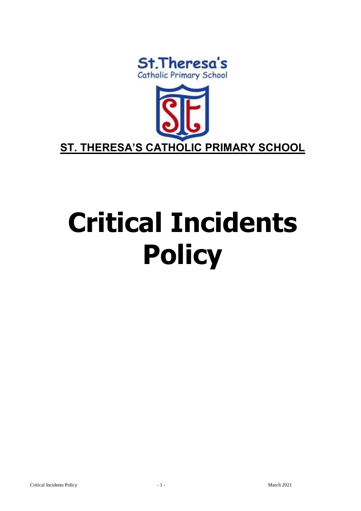



# **Critical Incidents Policy**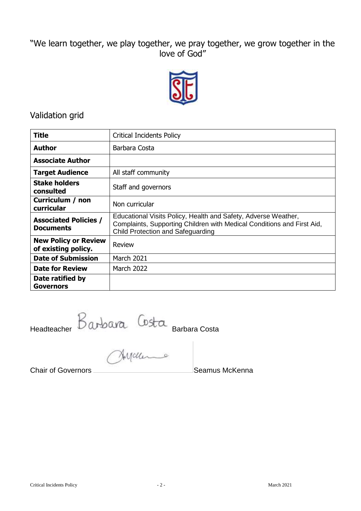# "We learn together, we play together, we pray together, we grow together in the love of God"



# Validation grid

| <b>Title</b>                                       | <b>Critical Incidents Policy</b>                                                                                                                                                     |  |
|----------------------------------------------------|--------------------------------------------------------------------------------------------------------------------------------------------------------------------------------------|--|
| <b>Author</b>                                      | Barbara Costa                                                                                                                                                                        |  |
| <b>Associate Author</b>                            |                                                                                                                                                                                      |  |
| <b>Target Audience</b>                             | All staff community                                                                                                                                                                  |  |
| <b>Stake holders</b><br>consulted                  | Staff and governors                                                                                                                                                                  |  |
| Curriculum / non<br>curricular                     | Non curricular                                                                                                                                                                       |  |
| <b>Associated Policies /</b><br><b>Documents</b>   | Educational Visits Policy, Health and Safety, Adverse Weather,<br>Complaints, Supporting Children with Medical Conditions and First Aid,<br><b>Child Protection and Safeguarding</b> |  |
| <b>New Policy or Review</b><br>of existing policy. | Review                                                                                                                                                                               |  |
| <b>Date of Submission</b>                          | <b>March 2021</b>                                                                                                                                                                    |  |
| <b>Date for Review</b>                             | <b>March 2022</b>                                                                                                                                                                    |  |
| Date ratified by<br><b>Governors</b>               |                                                                                                                                                                                      |  |

Headteacher Barbara Costa

Chair of Governors **Seamus McKenna**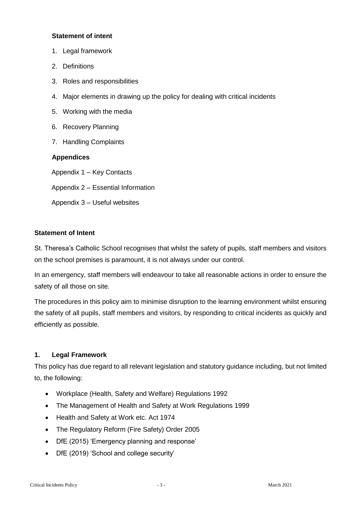#### **Statement of intent**

- 1. Legal framework
- 2. Definitions
- 3. Roles and responsibilities
- 4. Major elements in drawing up the policy for dealing with critical incidents
- 5. Working with the media
- 6. Recovery Planning
- 7. Handling Complaints

### **Appendices**

Appendix 1 – Key Contacts

- Appendix 2 Essential Information
- Appendix 3 Useful websites

### **Statement of Intent**

St. Theresa's Catholic School recognises that whilst the safety of pupils, staff members and visitors on the school premises is paramount, it is not always under our control.

In an emergency, staff members will endeavour to take all reasonable actions in order to ensure the safety of all those on site.

The procedures in this policy aim to minimise disruption to the learning environment whilst ensuring the safety of all pupils, staff members and visitors, by responding to critical incidents as quickly and efficiently as possible.

#### **1. Legal Framework**

This policy has due regard to all relevant legislation and statutory guidance including, but not limited to, the following:

- Workplace (Health, Safety and Welfare) Regulations 1992
- The Management of Health and Safety at Work Regulations 1999
- Health and Safety at Work etc. Act 1974
- The Regulatory Reform (Fire Safety) Order 2005
- DfE (2015) 'Emergency planning and response'
- DfE (2019) 'School and college security'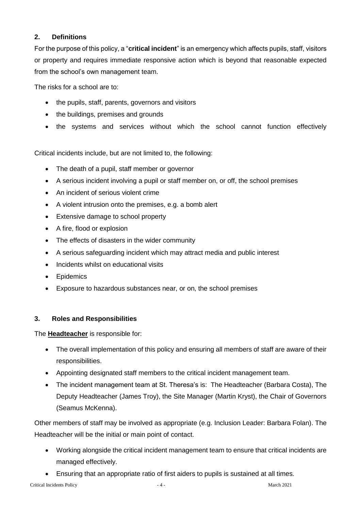# **2. Definitions**

For the purpose of this policy, a "**critical incident**" is an emergency which affects pupils, staff, visitors or property and requires immediate responsive action which is beyond that reasonable expected from the school's own management team.

The risks for a school are to:

- the pupils, staff, parents, governors and visitors
- the buildings, premises and grounds
- the systems and services without which the school cannot function effectively

Critical incidents include, but are not limited to, the following:

- The death of a pupil, staff member or governor
- A serious incident involving a pupil or staff member on, or off, the school premises
- An incident of serious violent crime
- A violent intrusion onto the premises, e.g. a bomb alert
- Extensive damage to school property
- A fire, flood or explosion
- The effects of disasters in the wider community
- A serious safeguarding incident which may attract media and public interest
- Incidents whilst on educational visits
- Epidemics
- Exposure to hazardous substances near, or on, the school premises

# **3. Roles and Responsibilities**

The **Headteacher** is responsible for:

- The overall implementation of this policy and ensuring all members of staff are aware of their responsibilities.
- Appointing designated staff members to the critical incident management team.
- The incident management team at St. Theresa's is: The Headteacher (Barbara Costa), The Deputy Headteacher (James Troy), the Site Manager (Martin Kryst), the Chair of Governors (Seamus McKenna).

Other members of staff may be involved as appropriate (e.g. Inclusion Leader: Barbara Folan). The Headteacher will be the initial or main point of contact.

- Working alongside the critical incident management team to ensure that critical incidents are managed effectively.
- Ensuring that an appropriate ratio of first aiders to pupils is sustained at all times.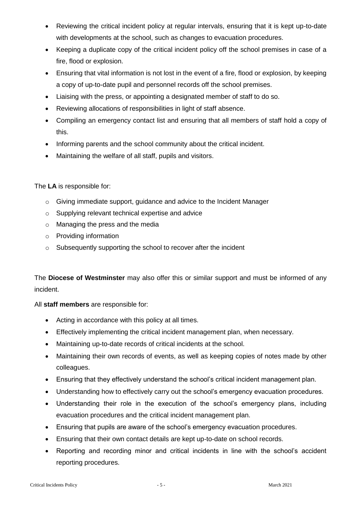- Reviewing the critical incident policy at regular intervals, ensuring that it is kept up-to-date with developments at the school, such as changes to evacuation procedures.
- Keeping a duplicate copy of the critical incident policy off the school premises in case of a fire, flood or explosion.
- Ensuring that vital information is not lost in the event of a fire, flood or explosion, by keeping a copy of up-to-date pupil and personnel records off the school premises.
- Liaising with the press, or appointing a designated member of staff to do so.
- Reviewing allocations of responsibilities in light of staff absence.
- Compiling an emergency contact list and ensuring that all members of staff hold a copy of this.
- Informing parents and the school community about the critical incident.
- Maintaining the welfare of all staff, pupils and visitors.

### The **LA** is responsible for:

- o Giving immediate support, guidance and advice to the Incident Manager
- o Supplying relevant technical expertise and advice
- o Managing the press and the media
- o Providing information
- o Subsequently supporting the school to recover after the incident

The **Diocese of Westminster** may also offer this or similar support and must be informed of any incident.

# All **staff members** are responsible for:

- Acting in accordance with this policy at all times.
- Effectively implementing the critical incident management plan, when necessary.
- Maintaining up-to-date records of critical incidents at the school.
- Maintaining their own records of events, as well as keeping copies of notes made by other colleagues.
- Ensuring that they effectively understand the school's critical incident management plan.
- Understanding how to effectively carry out the school's emergency evacuation procedures.
- Understanding their role in the execution of the school's emergency plans, including evacuation procedures and the critical incident management plan.
- Ensuring that pupils are aware of the school's emergency evacuation procedures.
- Ensuring that their own contact details are kept up-to-date on school records.
- Reporting and recording minor and critical incidents in line with the school's accident reporting procedures.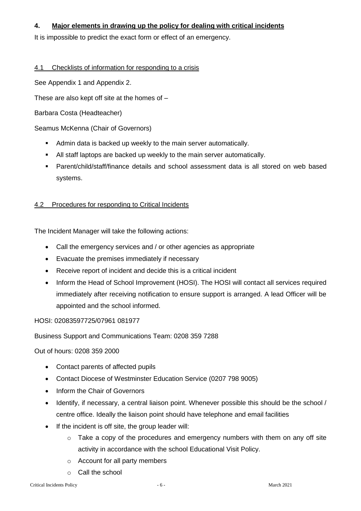# **4. Major elements in drawing up the policy for dealing with critical incidents**

It is impossible to predict the exact form or effect of an emergency.

#### 4.1 Checklists of information for responding to a crisis

See Appendix 1 and Appendix 2.

These are also kept off site at the homes of –

Barbara Costa (Headteacher)

#### Seamus McKenna (Chair of Governors)

- Admin data is backed up weekly to the main server automatically.
- All staff laptops are backed up weekly to the main server automatically.
- Parent/child/staff/finance details and school assessment data is all stored on web based systems.

# 4.2 Procedures for responding to Critical Incidents

The Incident Manager will take the following actions:

- Call the emergency services and / or other agencies as appropriate
- Evacuate the premises immediately if necessary
- Receive report of incident and decide this is a critical incident
- Inform the Head of School Improvement (HOSI). The HOSI will contact all services required immediately after receiving notification to ensure support is arranged. A lead Officer will be appointed and the school informed.

HOSI: 02083597725/07961 081977

Business Support and Communications Team: 0208 359 7288

Out of hours: 0208 359 2000

- Contact parents of affected pupils
- Contact Diocese of Westminster Education Service (0207 798 9005)
- Inform the Chair of Governors
- Identify, if necessary, a central liaison point. Whenever possible this should be the school / centre office. Ideally the liaison point should have telephone and email facilities
- If the incident is off site, the group leader will:
	- $\circ$  Take a copy of the procedures and emergency numbers with them on any off site activity in accordance with the school Educational Visit Policy.
	- o Account for all party members
	- o Call the school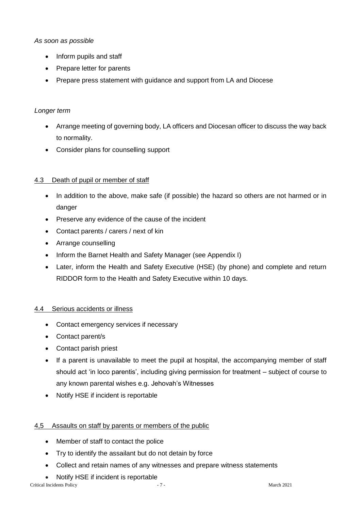### *As soon as possible*

- Inform pupils and staff
- Prepare letter for parents
- Prepare press statement with guidance and support from LA and Diocese

## *Longer term*

- Arrange meeting of governing body, LA officers and Diocesan officer to discuss the way back to normality.
- Consider plans for counselling support

# 4.3 Death of pupil or member of staff

- In addition to the above, make safe (if possible) the hazard so others are not harmed or in danger
- Preserve any evidence of the cause of the incident
- Contact parents / carers / next of kin
- Arrange counselling
- Inform the Barnet Health and Safety Manager (see Appendix I)
- Later, inform the Health and Safety Executive (HSE) (by phone) and complete and return RIDDOR form to the Health and Safety Executive within 10 days.

#### 4.4 Serious accidents or illness

- Contact emergency services if necessary
- Contact parent/s
- Contact parish priest
- If a parent is unavailable to meet the pupil at hospital, the accompanying member of staff should act 'in loco parentis', including giving permission for treatment – subject of course to any known parental wishes e.g. Jehovah's Witnesses
- Notify HSE if incident is reportable

# 4,5 Assaults on staff by parents or members of the public

- Member of staff to contact the police
- Try to identify the assailant but do not detain by force
- Collect and retain names of any witnesses and prepare witness statements
- Notify HSE if incident is reportable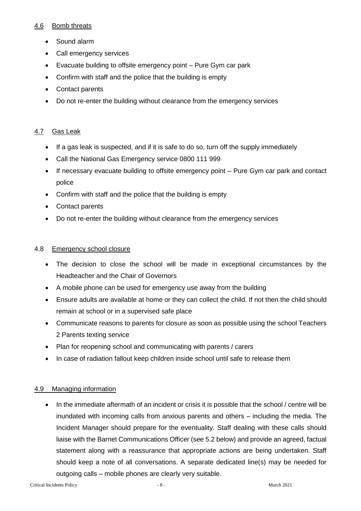#### 4.6 Bomb threats

- Sound alarm
- Call emergency services
- Evacuate building to offsite emergency point Pure Gym car park
- Confirm with staff and the police that the building is empty
- Contact parents
- Do not re-enter the building without clearance from the emergency services

## 4.7 Gas Leak

- If a gas leak is suspected, and if it is safe to do so, turn off the supply immediately
- Call the National Gas Emergency service 0800 111 999
- If necessary evacuate building to offsite emergency point Pure Gym car park and contact police
- Confirm with staff and the police that the building is empty
- Contact parents
- Do not re-enter the building without clearance from the emergency services

#### 4.8 Emergency school closure

- The decision to close the school will be made in exceptional circumstances by the Headteacher and the Chair of Governors
- A mobile phone can be used for emergency use away from the building
- Ensure adults are available at home or they can collect the child. If not then the child should remain at school or in a supervised safe place
- Communicate reasons to parents for closure as soon as possible using the school Teachers 2 Parents texting service
- Plan for reopening school and communicating with parents / carers
- In case of radiation fallout keep children inside school until safe to release them

#### 4.9 Managing information

• In the immediate aftermath of an incident or crisis it is possible that the school / centre will be inundated with incoming calls from anxious parents and others – including the media. The Incident Manager should prepare for the eventuality. Staff dealing with these calls should liaise with the Barnet Communications Officer (see 5.2 below) and provide an agreed, factual statement along with a reassurance that appropriate actions are being undertaken. Staff should keep a note of all conversations. A separate dedicated line(s) may be needed for outgoing calls – mobile phones are clearly very suitable.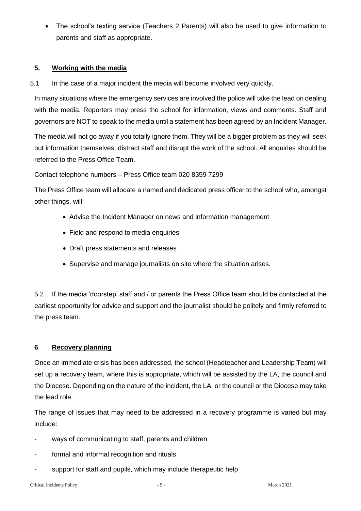The school's texting service (Teachers 2 Parents) will also be used to give information to parents and staff as appropriate.

## **5. Working with the media**

5.1 In the case of a major incident the media will become involved very quickly.

In many situations where the emergency services are involved the police will take the lead on dealing with the media. Reporters may press the school for information, views and comments. Staff and governors are NOT to speak to the media until a statement has been agreed by an Incident Manager.

The media will not go away if you totally ignore them. They will be a bigger problem as they will seek out information themselves, distract staff and disrupt the work of the school. All enquiries should be referred to the Press Office Team.

Contact telephone numbers – Press Office team 020 8359 7299

The Press Office team will allocate a named and dedicated press officer to the school who, amongst other things, will:

- Advise the Incident Manager on news and information management
- Field and respond to media enquiries
- Draft press statements and releases
- Supervise and manage journalists on site where the situation arises.

5.2 If the media 'doorstep' staff and / or parents the Press Office team should be contacted at the earliest opportunity for advice and support and the journalist should be politely and firmly referred to the press team.

#### **6 Recovery planning**

Once an immediate crisis has been addressed, the school (Headteacher and Leadership Team) will set up a recovery team, where this is appropriate, which will be assisted by the LA, the council and the Diocese. Depending on the nature of the incident, the LA, or the council or the Diocese may take the lead role.

The range of issues that may need to be addressed in a recovery programme is varied but may include:

- ways of communicating to staff, parents and children
- formal and informal recognition and rituals
- support for staff and pupils, which may include therapeutic help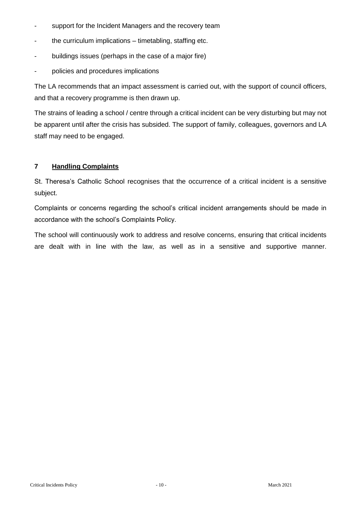- support for the Incident Managers and the recovery team
- the curriculum implications timetabling, staffing etc.
- buildings issues (perhaps in the case of a major fire)
- policies and procedures implications

The LA recommends that an impact assessment is carried out, with the support of council officers, and that a recovery programme is then drawn up.

The strains of leading a school / centre through a critical incident can be very disturbing but may not be apparent until after the crisis has subsided. The support of family, colleagues, governors and LA staff may need to be engaged.

# **7 Handling Complaints**

St. Theresa's Catholic School recognises that the occurrence of a critical incident is a sensitive subject.

Complaints or concerns regarding the school's critical incident arrangements should be made in accordance with the school's Complaints Policy.

The school will continuously work to address and resolve concerns, ensuring that critical incidents are dealt with in line with the law, as well as in a sensitive and supportive manner.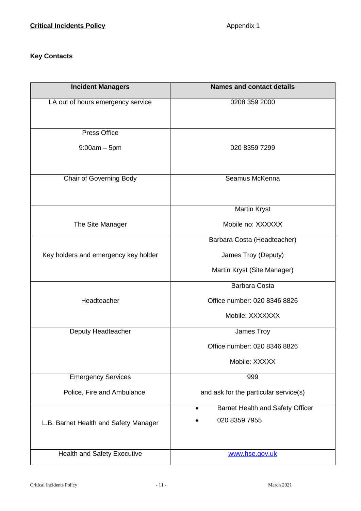# **Key Contacts**

| <b>Incident Managers</b>              | <b>Names and contact details</b>      |
|---------------------------------------|---------------------------------------|
| LA out of hours emergency service     | 0208 359 2000                         |
|                                       |                                       |
| <b>Press Office</b>                   |                                       |
| $9:00am - 5pm$                        | 020 8359 7299                         |
|                                       |                                       |
| Chair of Governing Body               | Seamus McKenna                        |
|                                       |                                       |
|                                       | <b>Martin Kryst</b>                   |
| The Site Manager                      | Mobile no: XXXXXX                     |
|                                       | Barbara Costa (Headteacher)           |
| Key holders and emergency key holder  | James Troy (Deputy)                   |
|                                       | Martin Kryst (Site Manager)           |
|                                       | <b>Barbara Costa</b>                  |
| Headteacher                           | Office number: 020 8346 8826          |
|                                       | Mobile: XXXXXXX                       |
| Deputy Headteacher                    | James Troy                            |
|                                       | Office number: 020 8346 8826          |
|                                       | Mobile: XXXXX                         |
| <b>Emergency Services</b>             | 999                                   |
| Police, Fire and Ambulance            | and ask for the particular service(s) |
|                                       | Barnet Health and Safety Officer      |
| L.B. Barnet Health and Safety Manager | 020 8359 7955                         |
|                                       |                                       |
| Health and Safety Executive           | www.hse.gov.uk                        |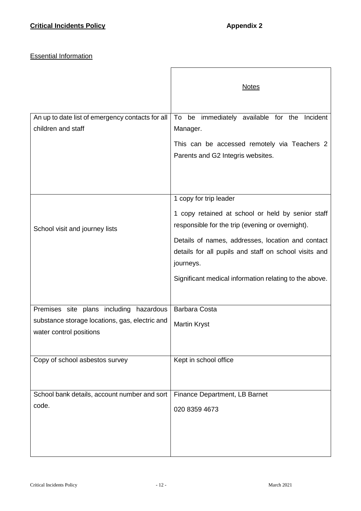# **Essential Information**

|                                                                           | <b>Notes</b>                                                                                          |
|---------------------------------------------------------------------------|-------------------------------------------------------------------------------------------------------|
| An up to date list of emergency contacts for all                          | To be immediately available for the Incident                                                          |
| children and staff                                                        | Manager.                                                                                              |
|                                                                           | This can be accessed remotely via Teachers 2                                                          |
|                                                                           | Parents and G2 Integris websites.                                                                     |
|                                                                           |                                                                                                       |
|                                                                           |                                                                                                       |
|                                                                           | 1 copy for trip leader                                                                                |
| School visit and journey lists                                            | 1 copy retained at school or held by senior staff<br>responsible for the trip (evening or overnight). |
|                                                                           | Details of names, addresses, location and contact                                                     |
|                                                                           | details for all pupils and staff on school visits and                                                 |
|                                                                           | journeys.                                                                                             |
|                                                                           | Significant medical information relating to the above.                                                |
|                                                                           |                                                                                                       |
| Premises site plans including hazardous                                   | <b>Barbara Costa</b>                                                                                  |
| substance storage locations, gas, electric and<br>water control positions | <b>Martin Kryst</b>                                                                                   |
|                                                                           |                                                                                                       |
| Copy of school asbestos survey                                            | Kept in school office                                                                                 |
|                                                                           |                                                                                                       |
| School bank details, account number and sort                              | Finance Department, LB Barnet                                                                         |
| code.                                                                     | 020 8359 4673                                                                                         |
|                                                                           |                                                                                                       |
|                                                                           |                                                                                                       |
|                                                                           |                                                                                                       |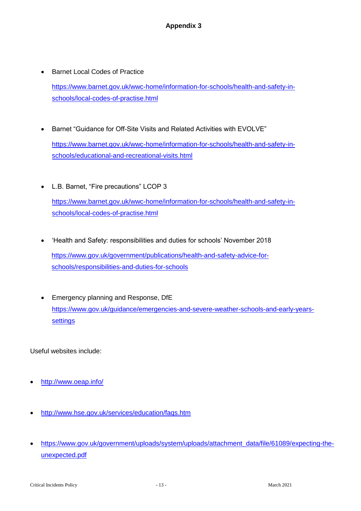- Barnet Local Codes of Practice [https://www.barnet.gov.uk/wwc-home/information-for-schools/health-and-safety-in](https://www.barnet.gov.uk/wwc-home/information-for-schools/health-and-safety-in-schools/local-codes-of-practise.html)[schools/local-codes-of-practise.html](https://www.barnet.gov.uk/wwc-home/information-for-schools/health-and-safety-in-schools/local-codes-of-practise.html)
- Barnet "Guidance for Off-Site Visits and Related Activities with EVOLVE" [https://www.barnet.gov.uk/wwc-home/information-for-schools/health-and-safety-in](https://www.barnet.gov.uk/wwc-home/information-for-schools/health-and-safety-in-schools/educational-and-recreational-visits.html)[schools/educational-and-recreational-visits.html](https://www.barnet.gov.uk/wwc-home/information-for-schools/health-and-safety-in-schools/educational-and-recreational-visits.html)
- L.B. Barnet, "Fire precautions" LCOP 3 [https://www.barnet.gov.uk/wwc-home/information-for-schools/health-and-safety-in](https://www.barnet.gov.uk/wwc-home/information-for-schools/health-and-safety-in-schools/local-codes-of-practise.html)[schools/local-codes-of-practise.html](https://www.barnet.gov.uk/wwc-home/information-for-schools/health-and-safety-in-schools/local-codes-of-practise.html)
- 'Health and Safety: responsibilities and duties for schools' November 2018 [https://www.gov.uk/government/publications/health-and-safety-advice-for](https://www.gov.uk/government/publications/health-and-safety-advice-for-schools/responsibilities-and-duties-for-schools)[schools/responsibilities-and-duties-for-schools](https://www.gov.uk/government/publications/health-and-safety-advice-for-schools/responsibilities-and-duties-for-schools)
- **Emergency planning and Response, DfE** [https://www.gov.uk/guidance/emergencies-and-severe-weather-schools-and-early-years](https://www.gov.uk/guidance/emergencies-and-severe-weather-schools-and-early-years-settings)**[settings](https://www.gov.uk/guidance/emergencies-and-severe-weather-schools-and-early-years-settings)**

Useful websites include:

- <http://www.oeap.info/>
- <http://www.hse.gov.uk/services/education/faqs.htm>
- [https://www.gov.uk/government/uploads/system/uploads/attachment\\_data/file/61089/expecting-the](https://www.gov.uk/government/uploads/system/uploads/attachment_data/file/61089/expecting-the-unexpected.pdf)[unexpected.pdf](https://www.gov.uk/government/uploads/system/uploads/attachment_data/file/61089/expecting-the-unexpected.pdf)